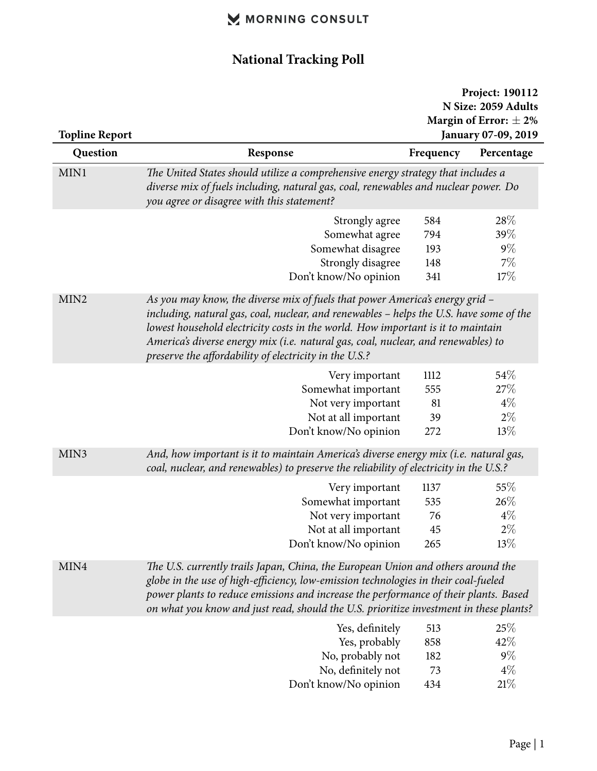## MORNING CONSULT

## **National Tracking Poll**

|                       |                                                                                                                                                                                                                                                                                                                                                                                                            | Project: 190112<br>N Size: 2059 Adults |            |  |
|-----------------------|------------------------------------------------------------------------------------------------------------------------------------------------------------------------------------------------------------------------------------------------------------------------------------------------------------------------------------------------------------------------------------------------------------|----------------------------------------|------------|--|
|                       |                                                                                                                                                                                                                                                                                                                                                                                                            | Margin of Error: $\pm$ 2%              |            |  |
| <b>Topline Report</b> |                                                                                                                                                                                                                                                                                                                                                                                                            | January 07-09, 2019                    |            |  |
| Question              | Response                                                                                                                                                                                                                                                                                                                                                                                                   | Frequency                              | Percentage |  |
| MIN1                  | The United States should utilize a comprehensive energy strategy that includes a                                                                                                                                                                                                                                                                                                                           |                                        |            |  |
|                       | diverse mix of fuels including, natural gas, coal, renewables and nuclear power. Do<br>you agree or disagree with this statement?                                                                                                                                                                                                                                                                          |                                        |            |  |
|                       | Strongly agree                                                                                                                                                                                                                                                                                                                                                                                             | 584                                    | 28%        |  |
|                       | Somewhat agree                                                                                                                                                                                                                                                                                                                                                                                             | 794                                    | $39\%$     |  |
|                       | Somewhat disagree                                                                                                                                                                                                                                                                                                                                                                                          | 193                                    | $9\%$      |  |
|                       | Strongly disagree                                                                                                                                                                                                                                                                                                                                                                                          | 148                                    | 7%         |  |
|                       | Don't know/No opinion                                                                                                                                                                                                                                                                                                                                                                                      | 341                                    | 17%        |  |
| MIN <sub>2</sub>      | As you may know, the diverse mix of fuels that power America's energy grid -<br>including, natural gas, coal, nuclear, and renewables - helps the U.S. have some of the<br>lowest household electricity costs in the world. How important is it to maintain<br>America's diverse energy mix (i.e. natural gas, coal, nuclear, and renewables) to<br>preserve the affordability of electricity in the U.S.? |                                        |            |  |
|                       | Very important                                                                                                                                                                                                                                                                                                                                                                                             | 1112                                   | 54%        |  |
|                       | Somewhat important                                                                                                                                                                                                                                                                                                                                                                                         | 555                                    | 27\%       |  |
|                       | Not very important                                                                                                                                                                                                                                                                                                                                                                                         | 81                                     | $4\%$      |  |
|                       | Not at all important                                                                                                                                                                                                                                                                                                                                                                                       | 39                                     | $2\%$      |  |
|                       | Don't know/No opinion                                                                                                                                                                                                                                                                                                                                                                                      | 272                                    | 13%        |  |
| MIN3                  | And, how important is it to maintain America's diverse energy mix (i.e. natural gas,<br>coal, nuclear, and renewables) to preserve the reliability of electricity in the U.S.?                                                                                                                                                                                                                             |                                        |            |  |
|                       | Very important                                                                                                                                                                                                                                                                                                                                                                                             | 1137                                   | 55\%       |  |
|                       | Somewhat important                                                                                                                                                                                                                                                                                                                                                                                         | 535                                    | 26%        |  |
|                       | Not very important                                                                                                                                                                                                                                                                                                                                                                                         | 76                                     | $4\%$      |  |
|                       | Not at all important                                                                                                                                                                                                                                                                                                                                                                                       | 45                                     | $2\%$      |  |
|                       | Don't know/No opinion                                                                                                                                                                                                                                                                                                                                                                                      | 265                                    | 13%        |  |
| MIN4                  | The U.S. currently trails Japan, China, the European Union and others around the<br>globe in the use of high-efficiency, low-emission technologies in their coal-fueled<br>power plants to reduce emissions and increase the performance of their plants. Based<br>on what you know and just read, should the U.S. prioritize investment in these plants?                                                  |                                        |            |  |
|                       |                                                                                                                                                                                                                                                                                                                                                                                                            | 513                                    | 25%        |  |
|                       | Yes, definitely<br>Yes, probably                                                                                                                                                                                                                                                                                                                                                                           | 858                                    | 42%        |  |
|                       | No, probably not                                                                                                                                                                                                                                                                                                                                                                                           | 182                                    | $9\%$      |  |
|                       | No, definitely not                                                                                                                                                                                                                                                                                                                                                                                         | 73                                     | $4\%$      |  |
|                       | Don't know/No opinion                                                                                                                                                                                                                                                                                                                                                                                      | 434                                    | 21%        |  |
|                       |                                                                                                                                                                                                                                                                                                                                                                                                            |                                        |            |  |